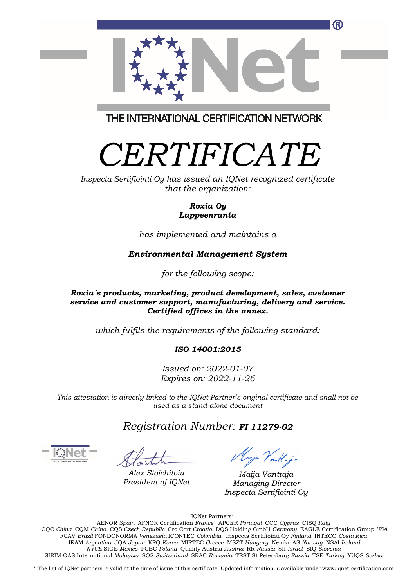

THE INTERNATIONAL CERTIFICATION NETWORK

# *CERTIFICATE*

*Inspecta Sertifiointi Oy has issued an IQNet recognized certificate that the organization:* 

#### *Roxia Oy Lappeenranta*

*has implemented and maintains a* 

## *Environmental Management System*

*for the following scope:* 

#### *Roxia´s products, marketing, product development, sales, customer service and customer support, manufacturing, delivery and service. Certified offices in the annex.*

*which fulfils the requirements of the following standard:* 

## *ISO 14001:2015*

*Issued on: 2022-01-07 Expires on: 2022-11-26* 

*This attestation is directly linked to the IQNet Partner's original certificate and shall not be used as a stand-alone document* 

## *Registration Number: FI 11279-02*

*Alex Stoichitoiu President of IQNet*

Mig Vattigo

*Maija Vanttaja Managing Director Inspecta Sertifiointi Oy*

IQNet Partners\*:

AENOR *Spain* AFNOR Certification *France* APCER *Portugal* CCC *Cyprus* CISQ *Italy*  CQC *China* CQM *China* CQS *Czech Republic* Cro Cert *Croatia* DQS Holding GmbH *Germany* EAGLE Certification Group *USA*  FCAV *Brazil* FONDONORMA *Venezuela* ICONTEC *Colombia* Inspecta Sertifiointi Oy *Finland* INTECO *Costa Rica*  IRAM *Argentina* JQA *Japan* KFQ *Korea* MIRTEC *Greece* MSZT *Hungary* Nemko AS *Norway* NSAI *Ireland NYCE-*SIGE *México* PCBC *Poland* Quality Austria *Austria* RR *Russia* SII *Israel* SIQ *Slovenia*  SIRIM QAS International *Malaysia* SQS *Switzerland* SRAC *Romania* TEST St Petersburg *Russia* TSE *Turkey* YUQS *Serbia* 

\* The list of IQNet partners is valid at the time of issue of this certificate. Updated information is available under www.iqnet-certification.com